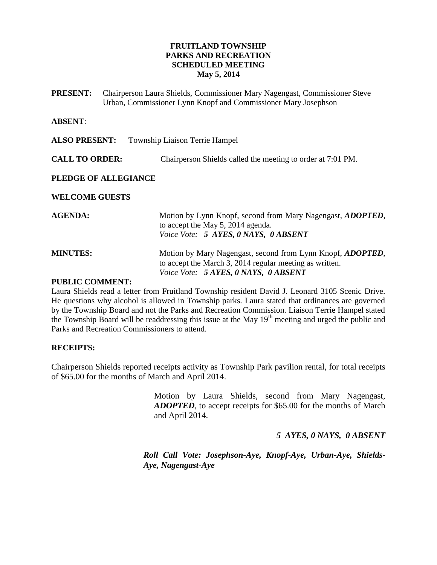#### **FRUITLAND TOWNSHIP PARKS AND RECREATION SCHEDULED MEETING May 5, 2014**

**PRESENT:** Chairperson Laura Shields, Commissioner Mary Nagengast, Commissioner Steve Urban, Commissioner Lynn Knopf and Commissioner Mary Josephson

#### **ABSENT**:

| <b>ALSO PRESENT:</b>  | <b>Township Liaison Terrie Hampel</b>                                                                                                                                 |
|-----------------------|-----------------------------------------------------------------------------------------------------------------------------------------------------------------------|
| <b>CALL TO ORDER:</b> | Chairperson Shields called the meeting to order at 7:01 PM.                                                                                                           |
| PLEDGE OF ALLEGIANCE  |                                                                                                                                                                       |
| <b>WELCOME GUESTS</b> |                                                                                                                                                                       |
| <b>AGENDA:</b>        | Motion by Lynn Knopf, second from Mary Nagengast, <i>ADOPTED</i> ,<br>to accept the May 5, 2014 agenda.<br>Voice Vote: 5 AYES, 0 NAYS, 0 ABSENT                       |
| <b>MINUTES:</b>       | Motion by Mary Nagengast, second from Lynn Knopf, <i>ADOPTED</i> ,<br>to accept the March 3, 2014 regular meeting as written.<br>Voice Vote: 5 AYES, 0 NAYS, 0 ABSENT |

#### **PUBLIC COMMENT:**

Laura Shields read a letter from Fruitland Township resident David J. Leonard 3105 Scenic Drive. He questions why alcohol is allowed in Township parks. Laura stated that ordinances are governed by the Township Board and not the Parks and Recreation Commission. Liaison Terrie Hampel stated the Township Board will be readdressing this issue at the May 19<sup>th</sup> meeting and urged the public and Parks and Recreation Commissioners to attend.

#### **RECEIPTS:**

Chairperson Shields reported receipts activity as Township Park pavilion rental, for total receipts of \$65.00 for the months of March and April 2014.

> Motion by Laura Shields, second from Mary Nagengast, *ADOPTED*, to accept receipts for \$65.00 for the months of March and April 2014.

> > *5 AYES, 0 NAYS, 0 ABSENT*

*Roll Call Vote: Josephson-Aye, Knopf-Aye, Urban-Aye, Shields-Aye, Nagengast-Aye*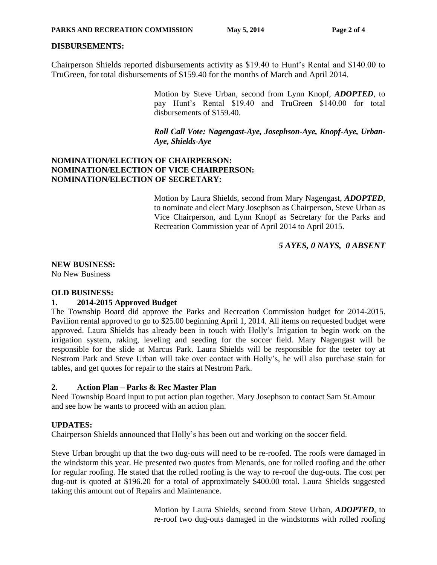### **DISBURSEMENTS:**

Chairperson Shields reported disbursements activity as \$19.40 to Hunt's Rental and \$140.00 to TruGreen, for total disbursements of \$159.40 for the months of March and April 2014.

> Motion by Steve Urban, second from Lynn Knopf, *ADOPTED*, to pay Hunt's Rental \$19.40 and TruGreen \$140.00 for total disbursements of \$159.40.

### *Roll Call Vote: Nagengast-Aye, Josephson-Aye, Knopf-Aye, Urban-Aye, Shields-Aye*

### **NOMINATION/ELECTION OF CHAIRPERSON: NOMINATION/ELECTION OF VICE CHAIRPERSON: NOMINATION/ELECTION OF SECRETARY:**

Motion by Laura Shields, second from Mary Nagengast, *ADOPTED*, to nominate and elect Mary Josephson as Chairperson, Steve Urban as Vice Chairperson, and Lynn Knopf as Secretary for the Parks and Recreation Commission year of April 2014 to April 2015.

*5 AYES, 0 NAYS, 0 ABSENT*

# **NEW BUSINESS:**

No New Business

### **OLD BUSINESS:**

## **1. 2014-2015 Approved Budget**

The Township Board did approve the Parks and Recreation Commission budget for 2014-2015. Pavilion rental approved to go to \$25.00 beginning April 1, 2014. All items on requested budget were approved. Laura Shields has already been in touch with Holly's Irrigation to begin work on the irrigation system, raking, leveling and seeding for the soccer field. Mary Nagengast will be responsible for the slide at Marcus Park. Laura Shields will be responsible for the teeter toy at Nestrom Park and Steve Urban will take over contact with Holly's, he will also purchase stain for tables, and get quotes for repair to the stairs at Nestrom Park.

### **2. Action Plan – Parks & Rec Master Plan**

Need Township Board input to put action plan together. Mary Josephson to contact Sam St.Amour and see how he wants to proceed with an action plan.

### **UPDATES:**

Chairperson Shields announced that Holly's has been out and working on the soccer field.

Steve Urban brought up that the two dug-outs will need to be re-roofed. The roofs were damaged in the windstorm this year. He presented two quotes from Menards, one for rolled roofing and the other for regular roofing. He stated that the rolled roofing is the way to re-roof the dug-outs. The cost per dug-out is quoted at \$196.20 for a total of approximately \$400.00 total. Laura Shields suggested taking this amount out of Repairs and Maintenance.

> Motion by Laura Shields, second from Steve Urban, *ADOPTED*, to re-roof two dug-outs damaged in the windstorms with rolled roofing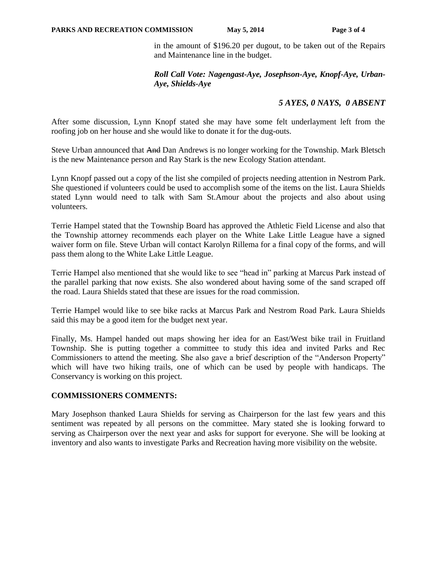in the amount of \$196.20 per dugout, to be taken out of the Repairs and Maintenance line in the budget.

### *Roll Call Vote: Nagengast-Aye, Josephson-Aye, Knopf-Aye, Urban-Aye, Shields-Aye*

# *5 AYES, 0 NAYS, 0 ABSENT*

After some discussion, Lynn Knopf stated she may have some felt underlayment left from the roofing job on her house and she would like to donate it for the dug-outs.

Steve Urban announced that And Dan Andrews is no longer working for the Township. Mark Bletsch is the new Maintenance person and Ray Stark is the new Ecology Station attendant.

Lynn Knopf passed out a copy of the list she compiled of projects needing attention in Nestrom Park. She questioned if volunteers could be used to accomplish some of the items on the list. Laura Shields stated Lynn would need to talk with Sam St.Amour about the projects and also about using volunteers.

Terrie Hampel stated that the Township Board has approved the Athletic Field License and also that the Township attorney recommends each player on the White Lake Little League have a signed waiver form on file. Steve Urban will contact Karolyn Rillema for a final copy of the forms, and will pass them along to the White Lake Little League.

Terrie Hampel also mentioned that she would like to see "head in" parking at Marcus Park instead of the parallel parking that now exists. She also wondered about having some of the sand scraped off the road. Laura Shields stated that these are issues for the road commission.

Terrie Hampel would like to see bike racks at Marcus Park and Nestrom Road Park. Laura Shields said this may be a good item for the budget next year.

Finally, Ms. Hampel handed out maps showing her idea for an East/West bike trail in Fruitland Township. She is putting together a committee to study this idea and invited Parks and Rec Commissioners to attend the meeting. She also gave a brief description of the "Anderson Property" which will have two hiking trails, one of which can be used by people with handicaps. The Conservancy is working on this project.

### **COMMISSIONERS COMMENTS:**

Mary Josephson thanked Laura Shields for serving as Chairperson for the last few years and this sentiment was repeated by all persons on the committee. Mary stated she is looking forward to serving as Chairperson over the next year and asks for support for everyone. She will be looking at inventory and also wants to investigate Parks and Recreation having more visibility on the website.